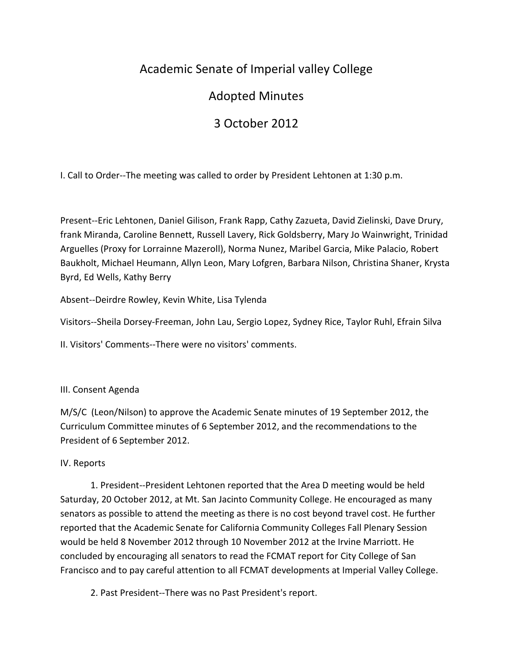## Academic Senate of Imperial valley College

## Adopted Minutes

# 3 October 2012

I. Call to Order--The meeting was called to order by President Lehtonen at 1:30 p.m.

Present--Eric Lehtonen, Daniel Gilison, Frank Rapp, Cathy Zazueta, David Zielinski, Dave Drury, frank Miranda, Caroline Bennett, Russell Lavery, Rick Goldsberry, Mary Jo Wainwright, Trinidad Arguelles (Proxy for Lorrainne Mazeroll), Norma Nunez, Maribel Garcia, Mike Palacio, Robert Baukholt, Michael Heumann, Allyn Leon, Mary Lofgren, Barbara Nilson, Christina Shaner, Krysta Byrd, Ed Wells, Kathy Berry

Absent--Deirdre Rowley, Kevin White, Lisa Tylenda

Visitors--Sheila Dorsey-Freeman, John Lau, Sergio Lopez, Sydney Rice, Taylor Ruhl, Efrain Silva

II. Visitors' Comments--There were no visitors' comments.

### III. Consent Agenda

M/S/C (Leon/Nilson) to approve the Academic Senate minutes of 19 September 2012, the Curriculum Committee minutes of 6 September 2012, and the recommendations to the President of 6 September 2012.

### IV. Reports

1. President--President Lehtonen reported that the Area D meeting would be held Saturday, 20 October 2012, at Mt. San Jacinto Community College. He encouraged as many senators as possible to attend the meeting as there is no cost beyond travel cost. He further reported that the Academic Senate for California Community Colleges Fall Plenary Session would be held 8 November 2012 through 10 November 2012 at the Irvine Marriott. He concluded by encouraging all senators to read the FCMAT report for City College of San Francisco and to pay careful attention to all FCMAT developments at Imperial Valley College.

2. Past President--There was no Past President's report.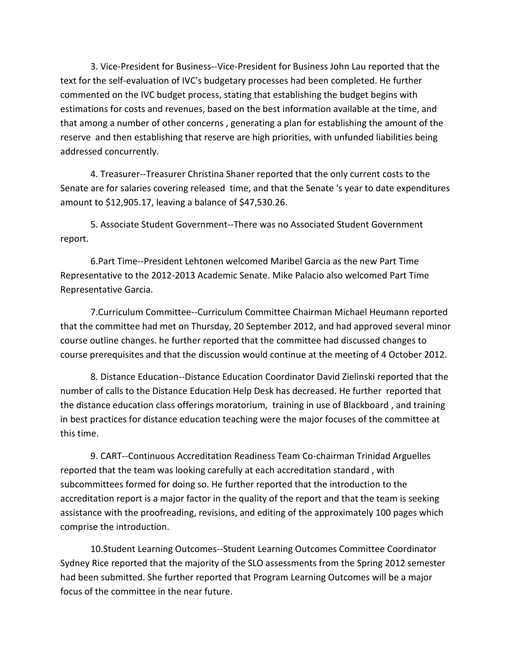3. Vice-President for Business--Vice-President for Business John Lau reported that the text for the self-evaluation of IVC's budgetary processes had been completed. He further commented on the IVC budget process, stating that establishing the budget begins with estimations for costs and revenues, based on the best information available at the time, and that among a number of other concerns , generating a plan for establishing the amount of the reserve and then establishing that reserve are high priorities, with unfunded liabilities being addressed concurrently.

4. Treasurer--Treasurer Christina Shaner reported that the only current costs to the Senate are for salaries covering released time, and that the Senate 's year to date expenditures amount to \$12,905.17, leaving a balance of \$47,530.26.

5. Associate Student Government--There was no Associated Student Government report.

6.Part Time--President Lehtonen welcomed Maribel Garcia as the new Part Time Representative to the 2012-2013 Academic Senate. Mike Palacio also welcomed Part Time Representative Garcia.

7.Curriculum Committee--Curriculum Committee Chairman Michael Heumann reported that the committee had met on Thursday, 20 September 2012, and had approved several minor course outline changes. he further reported that the committee had discussed changes to course prerequisites and that the discussion would continue at the meeting of 4 October 2012.

8. Distance Education--Distance Education Coordinator David Zielinski reported that the number of calls to the Distance Education Help Desk has decreased. He further reported that the distance education class offerings moratorium, training in use of Blackboard , and training in best practices for distance education teaching were the major focuses of the committee at this time.

9. CART--Continuous Accreditation Readiness Team Co-chairman Trinidad Arguelles reported that the team was looking carefully at each accreditation standard , with subcommittees formed for doing so. He further reported that the introduction to the accreditation report is a major factor in the quality of the report and that the team is seeking assistance with the proofreading, revisions, and editing of the approximately 100 pages which comprise the introduction.

10.Student Learning Outcomes--Student Learning Outcomes Committee Coordinator Sydney Rice reported that the majority of the SLO assessments from the Spring 2012 semester had been submitted. She further reported that Program Learning Outcomes will be a major focus of the committee in the near future.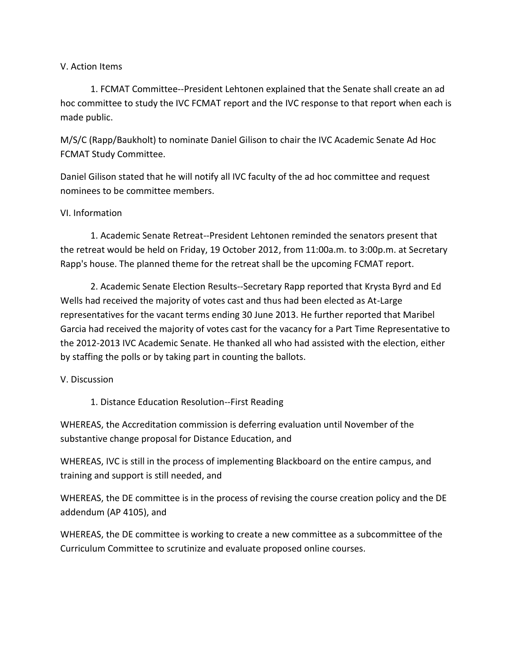#### V. Action Items

1. FCMAT Committee--President Lehtonen explained that the Senate shall create an ad hoc committee to study the IVC FCMAT report and the IVC response to that report when each is made public.

M/S/C (Rapp/Baukholt) to nominate Daniel Gilison to chair the IVC Academic Senate Ad Hoc FCMAT Study Committee.

Daniel Gilison stated that he will notify all IVC faculty of the ad hoc committee and request nominees to be committee members.

#### VI. Information

1. Academic Senate Retreat--President Lehtonen reminded the senators present that the retreat would be held on Friday, 19 October 2012, from 11:00a.m. to 3:00p.m. at Secretary Rapp's house. The planned theme for the retreat shall be the upcoming FCMAT report.

2. Academic Senate Election Results--Secretary Rapp reported that Krysta Byrd and Ed Wells had received the majority of votes cast and thus had been elected as At-Large representatives for the vacant terms ending 30 June 2013. He further reported that Maribel Garcia had received the majority of votes cast for the vacancy for a Part Time Representative to the 2012-2013 IVC Academic Senate. He thanked all who had assisted with the election, either by staffing the polls or by taking part in counting the ballots.

#### V. Discussion

1. Distance Education Resolution--First Reading

WHEREAS, the Accreditation commission is deferring evaluation until November of the substantive change proposal for Distance Education, and

WHEREAS, IVC is still in the process of implementing Blackboard on the entire campus, and training and support is still needed, and

WHEREAS, the DE committee is in the process of revising the course creation policy and the DE addendum (AP 4105), and

WHEREAS, the DE committee is working to create a new committee as a subcommittee of the Curriculum Committee to scrutinize and evaluate proposed online courses.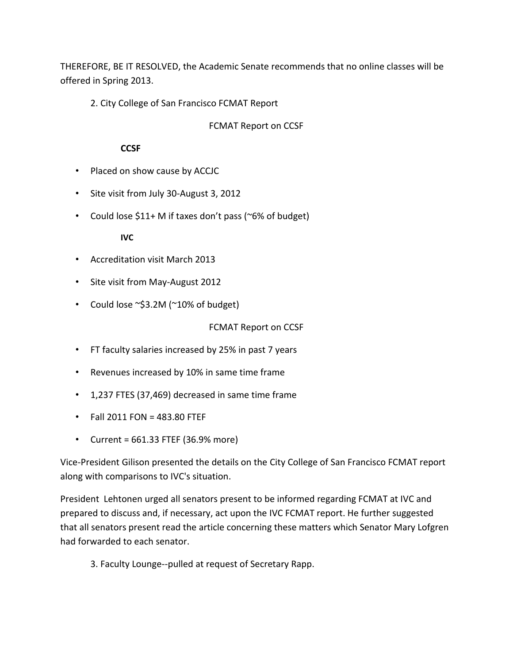THEREFORE, BE IT RESOLVED, the Academic Senate recommends that no online classes will be offered in Spring 2013.

2. City College of San Francisco FCMAT Report

FCMAT Report on CCSF

#### **CCSF**

- Placed on show cause by ACCJC
- Site visit from July 30-August 3, 2012
- Could lose \$11+ M if taxes don't pass (~6% of budget)

#### **IVC**

- Accreditation visit March 2013
- Site visit from May-August 2012
- Could lose ~\$3.2M (~10% of budget)

#### FCMAT Report on CCSF

- FT faculty salaries increased by 25% in past 7 years
- Revenues increased by 10% in same time frame
- 1,237 FTES (37,469) decreased in same time frame
- Fall 2011 FON = 483.80 FTEF
- Current = 661.33 FTEF (36.9% more)

Vice-President Gilison presented the details on the City College of San Francisco FCMAT report along with comparisons to IVC's situation.

President Lehtonen urged all senators present to be informed regarding FCMAT at IVC and prepared to discuss and, if necessary, act upon the IVC FCMAT report. He further suggested that all senators present read the article concerning these matters which Senator Mary Lofgren had forwarded to each senator.

3. Faculty Lounge--pulled at request of Secretary Rapp.